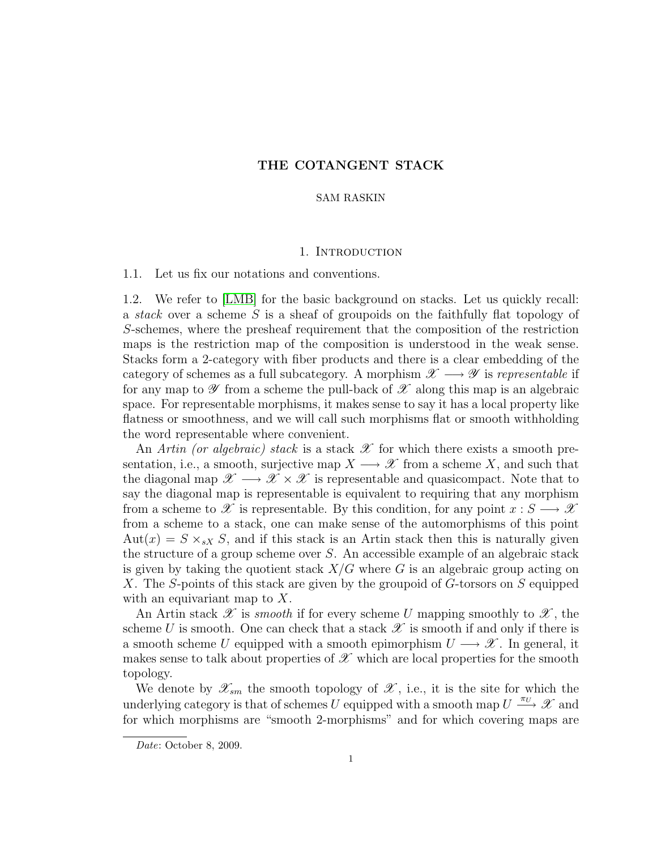# THE COTANGENT STACK

# SAM RASKIN

### 1. Introduction

1.1. Let us fix our notations and conventions.

1.2. We refer to [\[LMB\]](#page-9-0) for the basic background on stacks. Let us quickly recall: a stack over a scheme S is a sheaf of groupoids on the faithfully flat topology of S-schemes, where the presheaf requirement that the composition of the restriction maps is the restriction map of the composition is understood in the weak sense. Stacks form a 2-category with fiber products and there is a clear embedding of the category of schemes as a full subcategory. A morphism  $\mathscr{X} \longrightarrow \mathscr{Y}$  is representable if for any map to  $\mathscr Y$  from a scheme the pull-back of  $\mathscr X$  along this map is an algebraic space. For representable morphisms, it makes sense to say it has a local property like flatness or smoothness, and we will call such morphisms flat or smooth withholding the word representable where convenient.

An Artin (or algebraic) stack is a stack  $\mathscr X$  for which there exists a smooth presentation, i.e., a smooth, surjective map  $X \longrightarrow \mathscr{X}$  from a scheme X, and such that the diagonal map  $\mathscr{X} \longrightarrow \mathscr{X} \times \mathscr{X}$  is representable and quasicompact. Note that to say the diagonal map is representable is equivalent to requiring that any morphism from a scheme to X is representable. By this condition, for any point  $x : S \longrightarrow X$ from a scheme to a stack, one can make sense of the automorphisms of this point  $Aut(x) = S \times_{sX} S$ , and if this stack is an Artin stack then this is naturally given the structure of a group scheme over S. An accessible example of an algebraic stack is given by taking the quotient stack  $X/G$  where G is an algebraic group acting on X. The S-points of this stack are given by the groupoid of G-torsors on S equipped with an equivariant map to X.

An Artin stack  $\mathscr X$  is *smooth* if for every scheme U mapping smoothly to  $\mathscr X$ , the scheme U is smooth. One can check that a stack  $\mathscr X$  is smooth if and only if there is a smooth scheme U equipped with a smooth epimorphism  $U \longrightarrow \mathscr{X}$ . In general, it makes sense to talk about properties of  $\mathscr X$  which are local properties for the smooth topology.

We denote by  $\mathscr{X}_{sm}$  the smooth topology of  $\mathscr{X}$ , i.e., it is the site for which the underlying category is that of schemes U equipped with a smooth map  $U \stackrel{\pi_U}{\longrightarrow} \mathscr{X}$  and for which morphisms are "smooth 2-morphisms" and for which covering maps are

Date: October 8, 2009.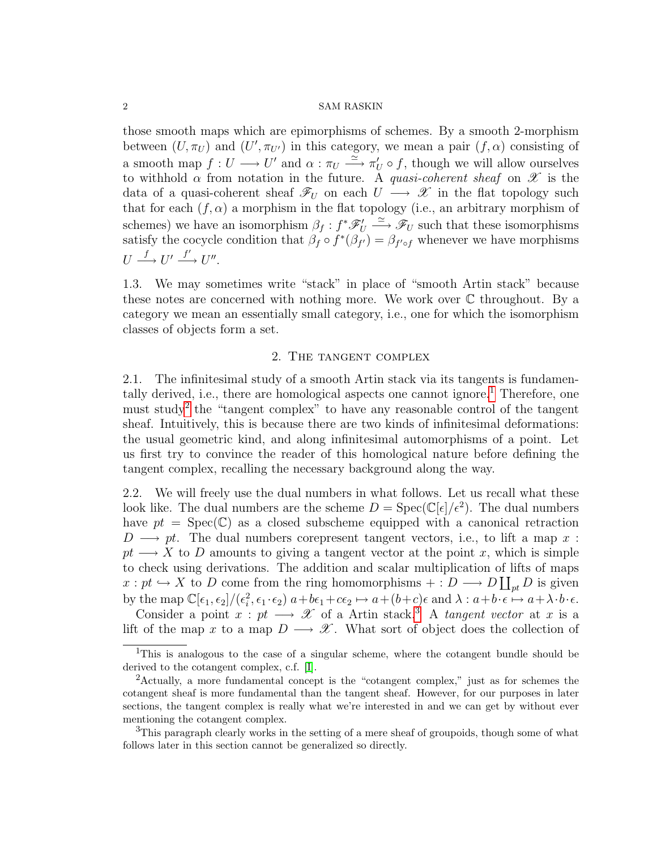those smooth maps which are epimorphisms of schemes. By a smooth 2-morphism between  $(U, \pi_U)$  and  $(U', \pi_{U'})$  in this category, we mean a pair  $(f, \alpha)$  consisting of a smooth map  $f: U \longrightarrow U'$  and  $\alpha: \pi_U \stackrel{\simeq}{\longrightarrow} \pi'_U \circ f$ , though we will allow ourselves to withhold  $\alpha$  from notation in the future. A quasi-coherent sheaf on  $\mathscr X$  is the data of a quasi-coherent sheaf  $\mathscr{F}_U$  on each  $U \longrightarrow \mathscr{X}$  in the flat topology such that for each  $(f, \alpha)$  a morphism in the flat topology (i.e., an arbitrary morphism of schemes) we have an isomorphism  $\beta_f: f^*\mathscr{F}'_U \longrightarrow \mathscr{F}_U$  such that these isomorphisms satisfy the cocycle condition that  $\beta_f \circ f^*(\beta_{f'}) = \beta_{f' \circ f}$  whenever we have morphisms  $U \stackrel{f}{\longrightarrow} U' \stackrel{f'}{\longrightarrow} U''.$ 

1.3. We may sometimes write "stack" in place of "smooth Artin stack" because these notes are concerned with nothing more. We work over  $\mathbb C$  throughout. By a category we mean an essentially small category, i.e., one for which the isomorphism classes of objects form a set.

# 2. The tangent complex

<span id="page-1-3"></span>2.1. The infinitesimal study of a smooth Artin stack via its tangents is fundamen-tally derived, i.e., there are homological aspects one cannot ignore.<sup>[1](#page-1-0)</sup> Therefore, one must study<sup>[2](#page-1-1)</sup> the "tangent complex" to have any reasonable control of the tangent sheaf. Intuitively, this is because there are two kinds of infinitesimal deformations: the usual geometric kind, and along infinitesimal automorphisms of a point. Let us first try to convince the reader of this homological nature before defining the tangent complex, recalling the necessary background along the way.

2.2. We will freely use the dual numbers in what follows. Let us recall what these look like. The dual numbers are the scheme  $D = \text{Spec}(\mathbb{C}[\epsilon]/\epsilon^2)$ . The dual numbers have  $pt = \text{Spec}(\mathbb{C})$  as a closed subscheme equipped with a canonical retraction  $D \longrightarrow pt$ . The dual numbers corepresent tangent vectors, i.e., to lift a map x :  $pt \longrightarrow X$  to D amounts to giving a tangent vector at the point x, which is simple to check using derivations. The addition and scalar multiplication of lifts of maps  $x: pt \hookrightarrow X$  to D come from the ring homomorphisms  $+: D \longrightarrow D \coprod_{pt} D$  is given by the map  $\mathbb{C}[\epsilon_1, \epsilon_2]/(\epsilon_i^2, \epsilon_1 \cdot \epsilon_2)$   $a+b\epsilon_1+c\epsilon_2 \mapsto a+(b+c)\epsilon$  and  $\lambda : a+b\cdot \epsilon \mapsto a+\lambda \cdot b\cdot \epsilon$ .

Consider a point  $x : pt \longrightarrow \mathcal{X}$  of a Artin stack.<sup>[3](#page-1-2)</sup> A tangent vector at x is a lift of the map x to a map  $D \longrightarrow \mathscr{X}$ . What sort of object does the collection of

<span id="page-1-0"></span><sup>&</sup>lt;sup>1</sup>This is analogous to the case of a singular scheme, where the cotangent bundle should be derived to the cotangent complex, c.f. [\[I\]](#page-9-1).

<span id="page-1-1"></span><sup>2</sup>Actually, a more fundamental concept is the "cotangent complex," just as for schemes the cotangent sheaf is more fundamental than the tangent sheaf. However, for our purposes in later sections, the tangent complex is really what we're interested in and we can get by without ever mentioning the cotangent complex.

<span id="page-1-2"></span><sup>3</sup>This paragraph clearly works in the setting of a mere sheaf of groupoids, though some of what follows later in this section cannot be generalized so directly.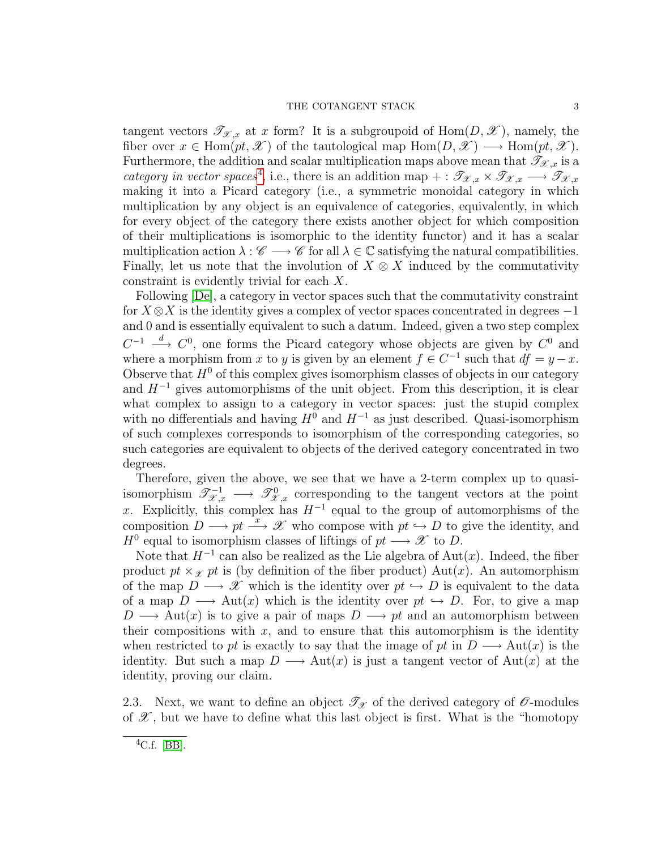# THE COTANGENT STACK  $3$

tangent vectors  $\mathscr{T}_{\mathscr{X},x}$  at x form? It is a subgroupoid of Hom $(D,\mathscr{X})$ , namely, the fiber over  $x \in \text{Hom}(pt, \mathcal{X})$  of the tautological map  $\text{Hom}(D, \mathcal{X}) \longrightarrow \text{Hom}(pt, \mathcal{X})$ . Furthermore, the addition and scalar multiplication maps above mean that  $\mathscr{T}_{\mathscr{X},x}$  is a category in vector spaces<sup>[4](#page-2-0)</sup>, i.e., there is an addition map + :  $\mathscr{T}_{\mathscr{X},x} \times \mathscr{T}_{\mathscr{X},x} \longrightarrow \mathscr{T}_{\mathscr{X},x}$ making it into a Picard category (i.e., a symmetric monoidal category in which multiplication by any object is an equivalence of categories, equivalently, in which for every object of the category there exists another object for which composition of their multiplications is isomorphic to the identity functor) and it has a scalar multiplication action  $\lambda : \mathscr{C} \longrightarrow \mathscr{C}$  for all  $\lambda \in \mathbb{C}$  satisfying the natural compatibilities. Finally, let us note that the involution of  $X \otimes X$  induced by the commutativity constraint is evidently trivial for each X.

Following [\[De\]](#page-9-2), a category in vector spaces such that the commutativity constraint for  $X \otimes X$  is the identity gives a complex of vector spaces concentrated in degrees  $-1$ and 0 and is essentially equivalent to such a datum. Indeed, given a two step complex  $C^{-1} \stackrel{d}{\longrightarrow} C^{0}$ , one forms the Picard category whose objects are given by  $C^{0}$  and where a morphism from x to y is given by an element  $f \in C^{-1}$  such that  $df = y - x$ . Observe that  $H^0$  of this complex gives isomorphism classes of objects in our category and  $H^{-1}$  gives automorphisms of the unit object. From this description, it is clear what complex to assign to a category in vector spaces: just the stupid complex with no differentials and having  $H^0$  and  $H^{-1}$  as just described. Quasi-isomorphism of such complexes corresponds to isomorphism of the corresponding categories, so such categories are equivalent to objects of the derived category concentrated in two degrees.

Therefore, given the above, we see that we have a 2-term complex up to quasiisomorphism  $\mathscr{T}^{-1}_{\mathscr{X},x} \longrightarrow \mathscr{T}^0_{\mathscr{X},x}$  corresponding to the tangent vectors at the point x. Explicitly, this complex has  $H^{-1}$  equal to the group of automorphisms of the composition  $D \longrightarrow pt \stackrel{x}{\longrightarrow} \mathscr{X}$  who compose with  $pt \hookrightarrow D$  to give the identity, and  $H^0$  equal to isomorphism classes of liftings of  $pt \longrightarrow \mathscr{X}$  to D.

Note that  $H^{-1}$  can also be realized as the Lie algebra of Aut $(x)$ . Indeed, the fiber product  $pt \times_{\mathcal{X}} pt$  is (by definition of the fiber product) Aut(x). An automorphism of the map  $D \longrightarrow \mathscr{X}$  which is the identity over  $pt \hookrightarrow D$  is equivalent to the data of a map  $D \longrightarrow \text{Aut}(x)$  which is the identity over  $pt \hookrightarrow D$ . For, to give a map  $D \longrightarrow \text{Aut}(x)$  is to give a pair of maps  $D \longrightarrow pt$  and an automorphism between their compositions with  $x$ , and to ensure that this automorphism is the identity when restricted to pt is exactly to say that the image of pt in  $D \longrightarrow Aut(x)$  is the identity. But such a map  $D \longrightarrow Aut(x)$  is just a tangent vector of  $Aut(x)$  at the identity, proving our claim.

2.3. Next, we want to define an object  $\mathscr{T}_{\mathscr{X}}$  of the derived category of  $\mathscr{O}$ -modules of  $\mathscr X$ , but we have to define what this last object is first. What is the "homotopy"

<span id="page-2-0"></span> ${}^4C.f.$  [\[BB\]](#page-9-3).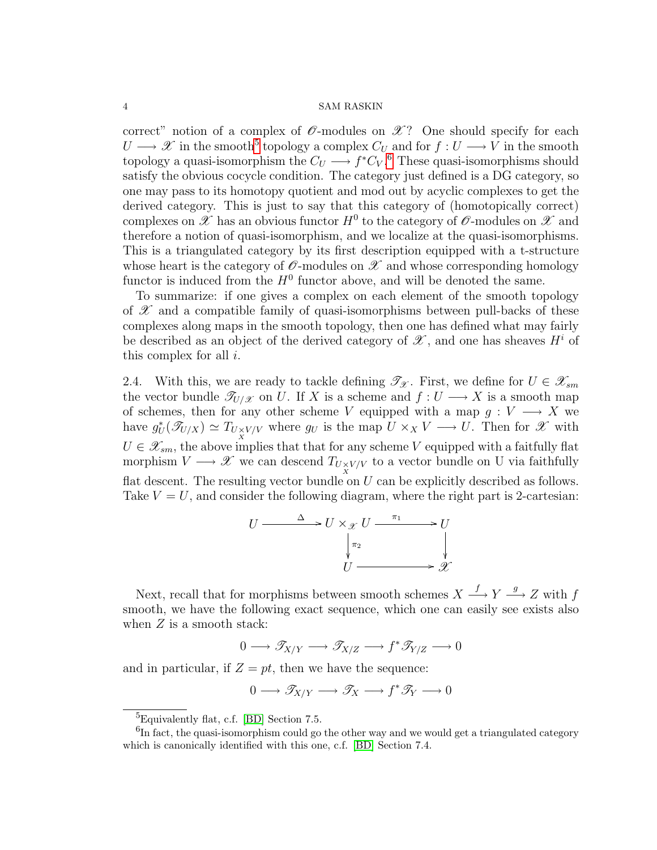correct" notion of a complex of  $\mathscr O$ -modules on  $\mathscr X$ ? One should specify for each  $U \longrightarrow \mathscr{X}$  in the smooth<sup>[5](#page-3-0)</sup> topology a complex  $C_U$  and for  $f: U \longrightarrow V$  in the smooth topology a quasi-isomorphism the  $C_U \longrightarrow f^*C_V$ .<sup>[6](#page-3-1)</sup> These quasi-isomorphisms should satisfy the obvious cocycle condition. The category just defined is a DG category, so one may pass to its homotopy quotient and mod out by acyclic complexes to get the derived category. This is just to say that this category of (homotopically correct) complexes on  $\mathscr X$  has an obvious functor  $H^0$  to the category of  $\mathscr O$ -modules on  $\mathscr X$  and therefore a notion of quasi-isomorphism, and we localize at the quasi-isomorphisms. This is a triangulated category by its first description equipped with a t-structure whose heart is the category of  $\mathscr O$ -modules on  $\mathscr X$  and whose corresponding homology functor is induced from the  $H^0$  functor above, and will be denoted the same.

To summarize: if one gives a complex on each element of the smooth topology of  $\mathscr X$  and a compatible family of quasi-isomorphisms between pull-backs of these complexes along maps in the smooth topology, then one has defined what may fairly be described as an object of the derived category of  $\mathscr{X}$ , and one has sheaves  $H^i$  of this complex for all  $i$ .

2.4. With this, we are ready to tackle defining  $\mathscr{T}_{\mathscr{X}}$ . First, we define for  $U \in \mathscr{X}_{sm}$ the vector bundle  $\mathscr{T}_{U/\mathscr{X}}$  on U. If X is a scheme and  $f: U \longrightarrow X$  is a smooth map of schemes, then for any other scheme V equipped with a map  $g: V \longrightarrow X$  we have  $g_U^*(\mathscr{T}_{U/X}) \simeq T_{U \times V/V}$  where  $g_U$  is the map  $U \times_X V \longrightarrow U$ . Then for  $\mathscr{X}$  with  $U \in \mathscr{X}_{sm}$ , the above implies that that for any scheme V equipped with a faitfully flat morphism  $V \longrightarrow \mathscr{X}$  we can descend  $T_{U \underset{X}{\times} V/V}$  to a vector bundle on U via faithfully flat descent. The resulting vector bundle on  $U$  can be explicitly described as follows. Take  $V = U$ , and consider the following diagram, where the right part is 2-cartesian:

$$
U \xrightarrow{\Delta} U \times_{\mathcal{X}} U \xrightarrow{\pi_1} U
$$
  

$$
\downarrow^{\pi_2} \qquad \qquad \downarrow^{\pi_3} \mathcal{X}
$$

Next, recall that for morphisms between smooth schemes  $X \stackrel{f}{\longrightarrow} Y \stackrel{g}{\longrightarrow} Z$  with f smooth, we have the following exact sequence, which one can easily see exists also when  $Z$  is a smooth stack:

$$
0 \longrightarrow \mathscr{T}_{X/Y} \longrightarrow \mathscr{T}_{X/Z} \longrightarrow f^* \mathscr{T}_{Y/Z} \longrightarrow 0
$$

and in particular, if  $Z = pt$ , then we have the sequence:

$$
0\longrightarrow \mathscr T_{X/Y}\longrightarrow \mathscr T_X\longrightarrow f^*\mathscr T_Y\longrightarrow 0
$$

<span id="page-3-1"></span><span id="page-3-0"></span><sup>5</sup>Equivalently flat, c.f. [\[BD\]](#page-9-4) Section 7.5.

<sup>&</sup>lt;sup>6</sup>In fact, the quasi-isomorphism could go the other way and we would get a triangulated category which is canonically identified with this one, c.f. [\[BD\]](#page-9-4) Section 7.4.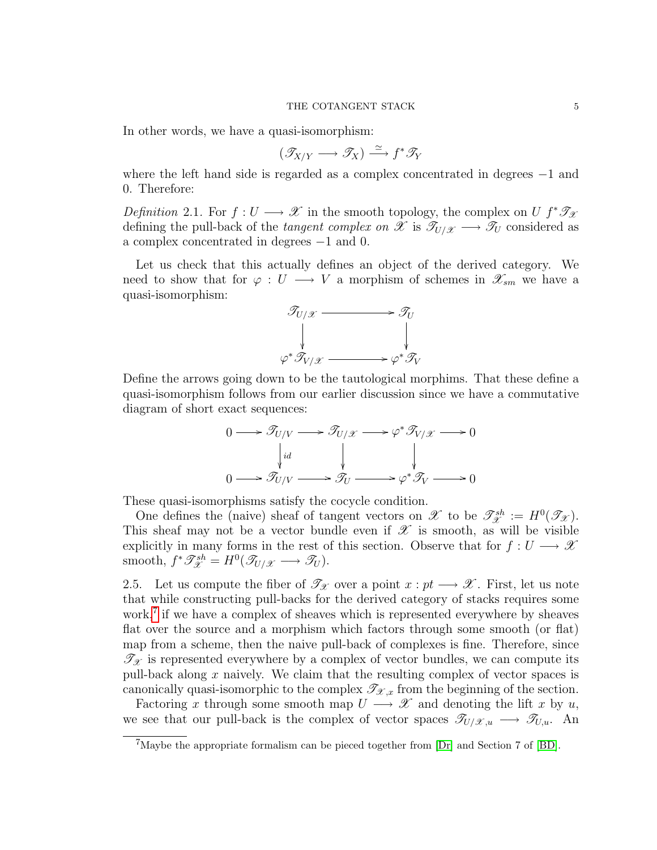#### THE COTANGENT STACK 5

In other words, we have a quasi-isomorphism:

$$
(\mathscr{T}_{X/Y} \longrightarrow \mathscr{T}_X) \xrightarrow{\simeq} f^* \mathscr{T}_Y
$$

where the left hand side is regarded as a complex concentrated in degrees −1 and 0. Therefore:

Definition 2.1. For  $f: U \longrightarrow \mathcal{X}$  in the smooth topology, the complex on U  $f^* \mathcal{I}_{\mathcal{X}}$ defining the pull-back of the tangent complex on X is  $\mathcal{T}_{U/\mathcal{X}} \longrightarrow \mathcal{T}_{U}$  considered as a complex concentrated in degrees −1 and 0.

Let us check that this actually defines an object of the derived category. We need to show that for  $\varphi: U \longrightarrow V$  a morphism of schemes in  $\mathscr{X}_{sm}$  we have a quasi-isomorphism:



Define the arrows going down to be the tautological morphims. That these define a quasi-isomorphism follows from our earlier discussion since we have a commutative diagram of short exact sequences:

$$
0 \longrightarrow \mathcal{T}_{U/V} \longrightarrow \mathcal{T}_{U/\mathcal{X}} \longrightarrow \varphi^* \mathcal{T}_{V/\mathcal{X}} \longrightarrow 0
$$
  
\n
$$
\downarrow id \qquad \qquad \downarrow \qquad \qquad \downarrow
$$
  
\n
$$
0 \longrightarrow \mathcal{T}_{U/V} \longrightarrow \mathcal{T}_{U} \longrightarrow \varphi^* \mathcal{T}_{V} \longrightarrow 0
$$

These quasi-isomorphisms satisfy the cocycle condition.

One defines the (naive) sheaf of tangent vectors on  $\mathscr{X}$  to be  $\mathscr{T}^{sh}_{\mathscr{X}} := H^0(\mathscr{T}_{\mathscr{X}})$ . This sheaf may not be a vector bundle even if  $\mathscr X$  is smooth, as will be visible explicitly in many forms in the rest of this section. Observe that for  $f: U \longrightarrow \mathcal{X}$ smooth,  $f^* \mathcal{I}_{\mathcal{X}}^{sh} = H^0(\mathcal{I}_{U/\mathcal{X}} \longrightarrow \mathcal{I}_U).$ 

2.5. Let us compute the fiber of  $\mathscr{T}_{\mathscr{X}}$  over a point  $x : pt \longrightarrow \mathscr{X}$ . First, let us note that while constructing pull-backs for the derived category of stacks requires some work,<sup>[7](#page-4-0)</sup> if we have a complex of sheaves which is represented everywhere by sheaves flat over the source and a morphism which factors through some smooth (or flat) map from a scheme, then the naive pull-back of complexes is fine. Therefore, since  $\mathcal{T}_{\mathcal{X}}$  is represented everywhere by a complex of vector bundles, we can compute its pull-back along  $x$  naively. We claim that the resulting complex of vector spaces is canonically quasi-isomorphic to the complex  $\mathscr{T}_{\mathscr{X},x}$  from the beginning of the section.

Factoring x through some smooth map  $U \longrightarrow \mathcal{X}$  and denoting the lift x by u, we see that our pull-back is the complex of vector spaces  $\mathscr{T}_{U/\mathscr{X},u} \longrightarrow \mathscr{T}_{U,u}$ . An

<span id="page-4-0"></span><sup>7</sup>Maybe the appropriate formalism can be pieced together from [\[Dr\]](#page-9-5) and Section 7 of [\[BD\]](#page-9-4).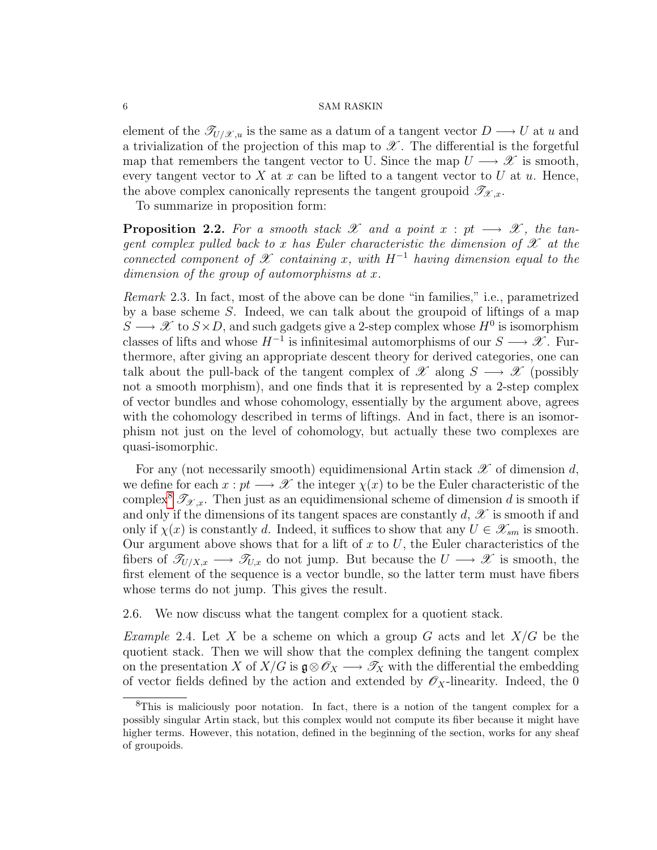element of the  $\mathscr{T}_{U/\mathscr{X},u}$  is the same as a datum of a tangent vector  $D \longrightarrow U$  at u and a trivialization of the projection of this map to  $\mathscr X$ . The differential is the forgetful map that remembers the tangent vector to U. Since the map  $U \longrightarrow \mathscr{X}$  is smooth, every tangent vector to X at x can be lifted to a tangent vector to U at  $u$ . Hence, the above complex canonically represents the tangent groupoid  $\mathscr{T}_{\mathscr{X},x}$ .

To summarize in proposition form:

<span id="page-5-1"></span>**Proposition 2.2.** For a smooth stack X and a point  $x : pt \longrightarrow \mathcal{X}$ , the tangent complex pulled back to x has Euler characteristic the dimension of  $\mathscr X$  at the connected component of X containing x, with  $H^{-1}$  having dimension equal to the dimension of the group of automorphisms at x.

Remark 2.3. In fact, most of the above can be done "in families," i.e., parametrized by a base scheme S. Indeed, we can talk about the groupoid of liftings of a map  $S \longrightarrow \mathscr{X}$  to  $S \times D$ , and such gadgets give a 2-step complex whose  $H^0$  is isomorphism classes of lifts and whose  $H^{-1}$  is infinitesimal automorphisms of our  $S \longrightarrow \mathscr{X}$ . Furthermore, after giving an appropriate descent theory for derived categories, one can talk about the pull-back of the tangent complex of  $\mathscr X$  along  $S \longrightarrow \mathscr X$  (possibly not a smooth morphism), and one finds that it is represented by a 2-step complex of vector bundles and whose cohomology, essentially by the argument above, agrees with the cohomology described in terms of liftings. And in fact, there is an isomorphism not just on the level of cohomology, but actually these two complexes are quasi-isomorphic.

For any (not necessarily smooth) equidimensional Artin stack  $\mathscr X$  of dimension d, we define for each  $x : pt \longrightarrow \mathcal{X}$  the integer  $\chi(x)$  to be the Euler characteristic of the complex<sup>[8](#page-5-0)</sup>  $\mathscr{T}_{\mathscr{X}.x}$ . Then just as an equidimensional scheme of dimension d is smooth if and only if the dimensions of its tangent spaces are constantly  $d, \mathscr{X}$  is smooth if and only if  $\chi(x)$  is constantly d. Indeed, it suffices to show that any  $U \in \mathscr{X}_{sm}$  is smooth. Our argument above shows that for a lift of  $x$  to  $U$ , the Euler characteristics of the fibers of  $\mathscr{T}_{U/X,x} \longrightarrow \mathscr{T}_{U,x}$  do not jump. But because the  $U \longrightarrow \mathscr{X}$  is smooth, the first element of the sequence is a vector bundle, so the latter term must have fibers whose terms do not jump. This gives the result.

2.6. We now discuss what the tangent complex for a quotient stack.

*Example* 2.4. Let X be a scheme on which a group G acts and let  $X/G$  be the quotient stack. Then we will show that the complex defining the tangent complex on the presentation X of  $X/G$  is  $\mathfrak{g} \otimes \mathscr{O}_X \longrightarrow \mathscr{T}_X$  with the differential the embedding of vector fields defined by the action and extended by  $\mathscr{O}_X$ -linearity. Indeed, the 0

<span id="page-5-0"></span><sup>8</sup>This is maliciously poor notation. In fact, there is a notion of the tangent complex for a possibly singular Artin stack, but this complex would not compute its fiber because it might have higher terms. However, this notation, defined in the beginning of the section, works for any sheaf of groupoids.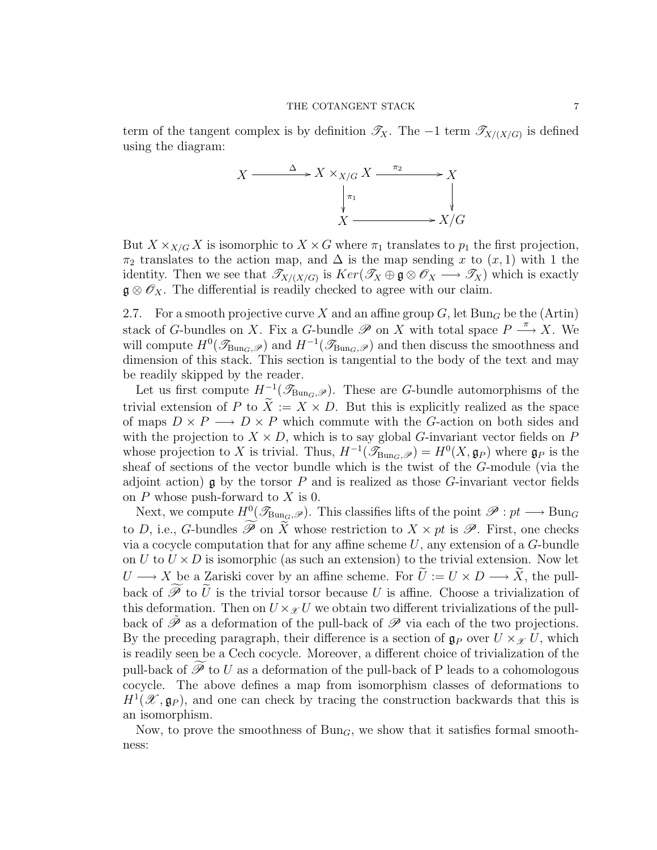term of the tangent complex is by definition  $\mathscr{T}_X$ . The -1 term  $\mathscr{T}_{X/(X/G)}$  is defined using the diagram:



But  $X \times_{X/G} X$  is isomorphic to  $X \times G$  where  $\pi_1$  translates to  $p_1$  the first projection,  $\pi_2$  translates to the action map, and  $\Delta$  is the map sending x to  $(x, 1)$  with 1 the identity. Then we see that  $\mathcal{T}_{X/(X/G)}$  is  $Ker(\mathcal{T}_X \oplus \mathfrak{g} \otimes \mathcal{O}_X \longrightarrow \mathcal{T}_X)$  which is exactly  $\mathfrak{g} \otimes \mathscr{O}_X$ . The differential is readily checked to agree with our claim.

<span id="page-6-0"></span>2.7. For a smooth projective curve X and an affine group  $G$ , let  $Bun_G$  be the (Artin) stack of G-bundles on X. Fix a G-bundle  $\mathscr P$  on X with total space  $P \stackrel{\pi}{\longrightarrow} X$ . We will compute  $H^0(\mathcal{I}_{Bun_G,\mathscr{P}})$  and  $H^{-1}(\mathcal{I}_{Bun_G,\mathscr{P}})$  and then discuss the smoothness and dimension of this stack. This section is tangential to the body of the text and may be readily skipped by the reader.

Let us first compute  $H^{-1}(\mathscr{T}_{\text{Bun}_G,\mathscr{P}})$ . These are G-bundle automorphisms of the trivial extension of P to  $\ddot{X} := X \times D$ . But this is explicitly realized as the space of maps  $D \times P \longrightarrow D \times P$  which commute with the G-action on both sides and with the projection to  $X \times D$ , which is to say global G-invariant vector fields on P whose projection to X is trivial. Thus,  $H^{-1}(\mathscr{T}_{Bun_G,\mathscr{P}}) = H^0(X,\mathfrak{g}_P)$  where  $\mathfrak{g}_P$  is the sheaf of sections of the vector bundle which is the twist of the G-module (via the adjoint action)  $\mathfrak g$  by the torsor P and is realized as those G-invariant vector fields on  $P$  whose push-forward to  $X$  is 0.

Next, we compute  $H^0(\mathscr{T}_{\text{Bun}_G,\mathscr{P}})$ . This classifies lifts of the point  $\mathscr{P}: pt \longrightarrow \text{Bun}_G$ to D, i.e., G-bundles  $\widetilde{\mathscr{P}}$  on  $\widetilde{\tilde{X}}$  whose restriction to  $X \times pt$  is  $\mathscr{P}$ . First, one checks via a cocycle computation that for any affine scheme  $U$ , any extension of a  $G$ -bundle on U to  $U \times D$  is isomorphic (as such an extension) to the trivial extension. Now let  $U \longrightarrow X$  be a Zariski cover by an affine scheme. For  $\tilde{U} := U \times D \longrightarrow \tilde{X}$ , the pullback of  $\widetilde{\mathscr{P}}$  to  $\widetilde{U}$  is the trivial torsor because U is affine. Choose a trivialization of this deformation. Then on  $U \times_{\mathcal{X}} U$  we obtain two different trivializations of the pullback of  $\tilde{\mathscr{P}}$  as a deformation of the pull-back of  $\mathscr{P}$  via each of the two projections. By the preceding paragraph, their difference is a section of  $\mathfrak{g}_P$  over  $U \times_{\mathscr{X}} U$ , which is readily seen be a Cech cocycle. Moreover, a different choice of trivialization of the pull-back of  $\mathscr P$  to U as a deformation of the pull-back of P leads to a cohomologous cocycle. The above defines a map from isomorphism classes of deformations to  $H^1(\mathscr{X}, \mathfrak{g}_P)$ , and one can check by tracing the construction backwards that this is an isomorphism.

Now, to prove the smoothness of  $Bun_G$ , we show that it satisfies formal smoothness: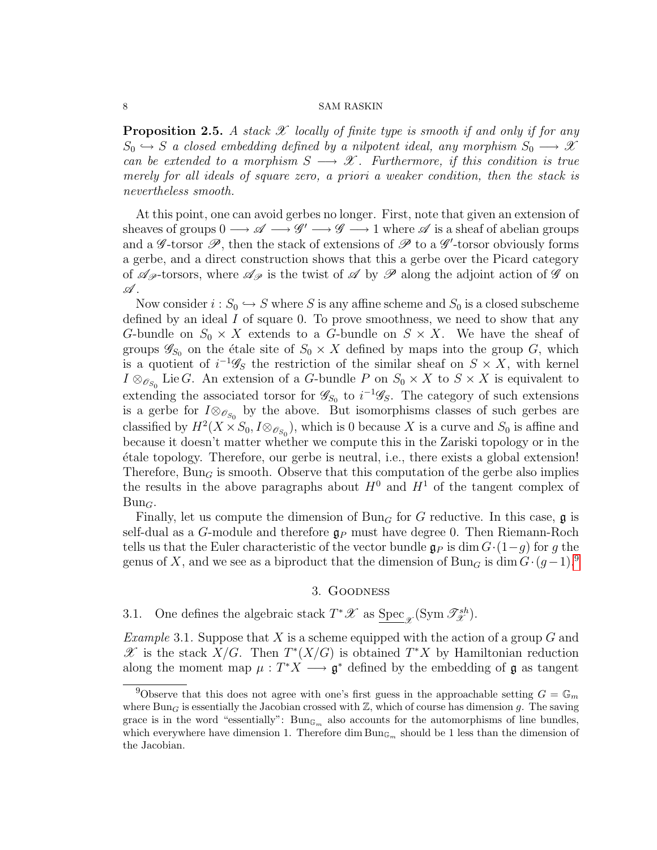**Proposition 2.5.** A stack  $\mathscr X$  locally of finite type is smooth if and only if for any  $S_0 \hookrightarrow S$  a closed embedding defined by a nilpotent ideal, any morphism  $S_0 \longrightarrow \mathscr{X}$ can be extended to a morphism  $S \longrightarrow \mathscr{X}$ . Furthermore, if this condition is true merely for all ideals of square zero, a priori a weaker condition, then the stack is nevertheless smooth.

At this point, one can avoid gerbes no longer. First, note that given an extension of sheaves of groups  $0 \longrightarrow \mathscr{A} \longrightarrow \mathscr{G}' \longrightarrow \mathscr{G} \longrightarrow 1$  where  $\mathscr{A}$  is a sheaf of abelian groups and a  $\mathscr{G}\text{-torsor }\mathscr{P}$ , then the stack of extensions of  $\mathscr{P}$  to a  $\mathscr{G}'\text{-torsor}$  obviously forms a gerbe, and a direct construction shows that this a gerbe over the Picard category of  $\mathscr{A}_{\mathscr{P}}$ -torsors, where  $\mathscr{A}_{\mathscr{P}}$  is the twist of  $\mathscr{A}$  by  $\mathscr{P}$  along the adjoint action of  $\mathscr{G}$  on  $\mathscr A$  .

Now consider  $i : S_0 \hookrightarrow S$  where S is any affine scheme and  $S_0$  is a closed subscheme defined by an ideal  $I$  of square 0. To prove smoothness, we need to show that any G-bundle on  $S_0 \times X$  extends to a G-bundle on  $S \times X$ . We have the sheaf of groups  $\mathscr{G}_{S_0}$  on the étale site of  $S_0 \times X$  defined by maps into the group G, which is a quotient of  $i^{-1}\mathscr{G}_S$  the restriction of the similar sheaf on  $S \times X$ , with kernel  $I \otimes_{\mathscr{O}_{S_0}}$  Lie G. An extension of a G-bundle P on  $S_0 \times X$  to  $S \times X$  is equivalent to extending the associated torsor for  $\mathscr{G}_{S_0}$  to  $i^{-1}\mathscr{G}_{S}$ . The category of such extensions is a gerbe for  $I \otimes_{\mathscr{O}_{S_0}}$  by the above. But isomorphisms classes of such gerbes are classified by  $H^2(X \times S_0, I \otimes_{\mathcal{O}_{S_0}})$ , which is 0 because X is a curve and  $S_0$  is affine and because it doesn't matter whether we compute this in the Zariski topology or in the ´etale topology. Therefore, our gerbe is neutral, i.e., there exists a global extension! Therefore,  $Bun_G$  is smooth. Observe that this computation of the gerbe also implies the results in the above paragraphs about  $H^0$  and  $H^1$  of the tangent complex of  $Bun_G$ .

Finally, let us compute the dimension of  $Bun<sub>G</sub>$  for G reductive. In this case, g is self-dual as a G-module and therefore  $\mathfrak{g}_P$  must have degree 0. Then Riemann-Roch tells us that the Euler characteristic of the vector bundle  $\mathfrak{g}_P$  is dim  $G \cdot (1-q)$  for g the genus of X, and we see as a biproduct that the dimension of Bun<sub>G</sub> is dim  $G \cdot (g-1)^9$  $G \cdot (g-1)^9$ .

# 3. Goodness

3.1. One defines the algebraic stack  $T^*\mathscr{X}$  as  $\underline{\text{Spec}}_{\mathscr{X}}(\text{Sym }\mathscr{T}^{sh}_{\mathscr{X}})$ .

*Example* 3.1. Suppose that X is a scheme equipped with the action of a group G and  $\mathscr X$  is the stack  $X/G$ . Then  $T^*(X/G)$  is obtained  $T^*X$  by Hamiltonian reduction along the moment map  $\mu : T^*X \longrightarrow \mathfrak{g}^*$  defined by the embedding of  $\mathfrak{g}$  as tangent

<span id="page-7-0"></span><sup>&</sup>lt;sup>9</sup>Observe that this does not agree with one's first guess in the approachable setting  $G = \mathbb{G}_m$ where  $Bun<sub>G</sub>$  is essentially the Jacobian crossed with  $\mathbb{Z}$ , which of course has dimension g. The saving grace is in the word "essentially":  $\text{Bun}_{\mathbb{G}_m}$  also accounts for the automorphisms of line bundles, which everywhere have dimension 1. Therefore dim  $Bun_{\mathbb{G}_m}$  should be 1 less than the dimension of the Jacobian.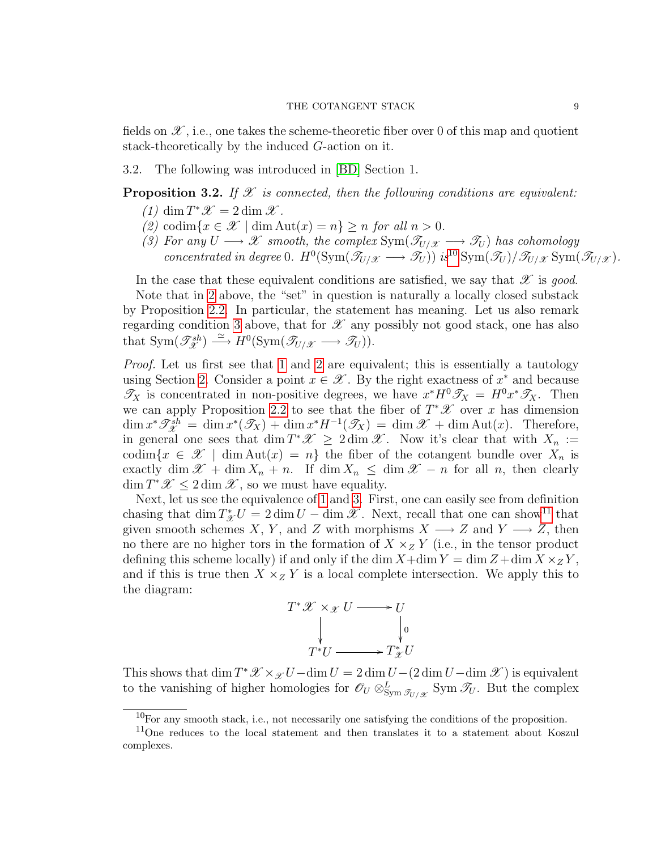fields on  $\mathscr{X}$ , i.e., one takes the scheme-theoretic fiber over 0 of this map and quotient stack-theoretically by the induced G-action on it.

3.2. The following was introduced in [\[BD\]](#page-9-4) Section 1.

# <span id="page-8-3"></span>**Proposition 3.2.** If  $\mathcal X$  is connected, then the following conditions are equivalent:

- (1)  $\dim T^* \mathscr{X} = 2 \dim \mathscr{X}$ .
- <span id="page-8-1"></span>(2) codim $\{x \in \mathcal{X} \mid \dim \text{Aut}(x) = n\} \geq n$  for all  $n > 0$ .
- <span id="page-8-2"></span>(3) For any  $U \longrightarrow \mathscr{X}$  smooth, the complex  $\text{Sym}(\mathscr{T}_{U/\mathscr{X}} \longrightarrow \mathscr{T}_U)$  has cohomology concentrated in degree 0.  $H^0(\text{Sym}(\mathcal{T}_{U/\mathcal{X}} \longrightarrow \mathcal{T}_U))$  is<sup>[10](#page-8-0)</sup>  $\text{Sym}(\mathcal{T}_U/\mathcal{T}_{U/\mathcal{X}} \text{Sym}(\mathcal{T}_{U/\mathcal{X}})$ .

In the case that these equivalent conditions are satisfied, we say that  $\mathscr X$  is good.

Note that in [2](#page-8-1) above, the "set" in question is naturally a locally closed substack by Proposition [2.2.](#page-5-1) In particular, the statement has meaning. Let us also remark regarding condition [3](#page-8-2) above, that for  $\mathscr X$  any possibly not good stack, one has also that  $\text{Sym}(\mathscr{T}_{\mathscr{X}}^{sh}) \stackrel{\simeq}{\longrightarrow} H^0(\text{Sym}(\mathscr{T}_{U/\mathscr{X}} \longrightarrow \mathscr{T}_{U})).$ 

Proof. Let us first see that [1](#page-8-3) and [2](#page-8-1) are equivalent; this is essentially a tautology using Section [2.](#page-1-3) Consider a point  $x \in \mathcal{X}$ . By the right exactness of  $x^*$  and because  $\mathscr{T}_X$  is concentrated in non-positive degrees, we have  $x^*H^0\mathscr{T}_X = H^0x^*\mathscr{T}_X$ . Then we can apply Proposition [2.2](#page-5-1) to see that the fiber of  $T^*\mathscr{X}$  over x has dimension  $\dim x^* \mathscr{T}^{sh}_{\mathscr{X}} = \dim x^* (\mathscr{T}_X) + \dim x^* H^{-1} (\mathscr{T}_X) = \dim \mathscr{X} + \dim \text{Aut}(x)$ . Therefore, in general one sees that  $\dim T^*\mathscr{X} \geq 2 \dim \mathscr{X}$ . Now it's clear that with  $X_n :=$ codim $\{x \in \mathcal{X} \mid \dim \text{Aut}(x) = n\}$  the fiber of the cotangent bundle over  $X_n$  is exactly dim  $\mathscr{X}$  + dim  $X_n$  + n. If dim  $X_n \leq$  dim  $\mathscr{X}$  – n for all n, then clearly  $\dim T^* \mathscr{X} \leq 2 \dim \mathscr{X}$ , so we must have equality.

Next, let us see the equivalence of [1](#page-8-3) and [3.](#page-8-2) First, one can easily see from definition chasing that  $\dim T^*_{\mathcal{X}}U = 2 \dim U - \dim \mathcal{X}$ . Next, recall that one can show<sup>[11](#page-8-4)</sup> that given smooth schemes X, Y, and Z with morphisms  $X \longrightarrow Z$  and  $Y \longrightarrow Z$ , then no there are no higher tors in the formation of  $X \times_Z Y$  (i.e., in the tensor product defining this scheme locally) if and only if the dim  $X+\dim Y = \dim Z + \dim X \times_Z Y$ , and if this is true then  $X \times_Z Y$  is a local complete intersection. We apply this to the diagram:



This shows that  $\dim T^* \mathscr{X} \times_{\mathscr{X}} U - \dim U = 2 \dim U - (2 \dim U - \dim \mathscr{X})$  is equivalent to the vanishing of higher homologies for  $\mathscr{O}_U \otimes_{\text{Sym} \mathscr{T}_{U/\mathscr{X}}}^L \text{Sym } \mathscr{T}_U$ . But the complex

<span id="page-8-4"></span><span id="page-8-0"></span> $10$ For any smooth stack, i.e., not necessarily one satisfying the conditions of the proposition.

<sup>&</sup>lt;sup>11</sup>One reduces to the local statement and then translates it to a statement about Koszul complexes.